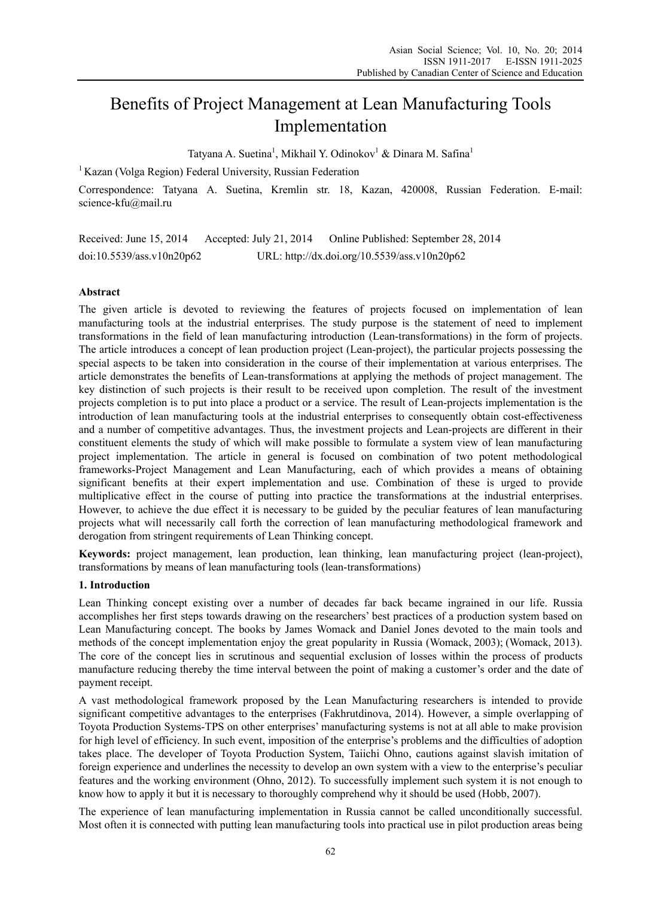# Benefits of Project Management at Lean Manufacturing Tools Implementation

Tatyana A. Suetina<sup>1</sup>, Mikhail Y. Odinokov<sup>1</sup> & Dinara M. Safina<sup>1</sup>

<sup>1</sup> Kazan (Volga Region) Federal University, Russian Federation

Correspondence: Tatyana A. Suetina, Kremlin str. 18, Kazan, 420008, Russian Federation. E-mail: science-kfu@mail.ru

Received: June 15, 2014 Accepted: July 21, 2014 Online Published: September 28, 2014 doi:10.5539/ass.v10n20p62 URL: http://dx.doi.org/10.5539/ass.v10n20p62

# **Abstract**

The given article is devoted to reviewing the features of projects focused on implementation of lean manufacturing tools at the industrial enterprises. The study purpose is the statement of need to implement transformations in the field of lean manufacturing introduction (Lean-transformations) in the form of projects. The article introduces a concept of lean production project (Lean-project), the particular projects possessing the special aspects to be taken into consideration in the course of their implementation at various enterprises. The article demonstrates the benefits of Lean-transformations at applying the methods of project management. The key distinction of such projects is their result to be received upon completion. The result of the investment projects completion is to put into place a product or a service. The result of Lean-projects implementation is the introduction of lean manufacturing tools at the industrial enterprises to consequently obtain cost-effectiveness and a number of competitive advantages. Thus, the investment projects and Lean-projects are different in their constituent elements the study of which will make possible to formulate a system view of lean manufacturing project implementation. The article in general is focused on combination of two potent methodological frameworks-Project Management and Lean Manufacturing, each of which provides a means of obtaining significant benefits at their expert implementation and use. Combination of these is urged to provide multiplicative effect in the course of putting into practice the transformations at the industrial enterprises. However, to achieve the due effect it is necessary to be guided by the peculiar features of lean manufacturing projects what will necessarily call forth the correction of lean manufacturing methodological framework and derogation from stringent requirements of Lean Thinking concept.

**Keywords:** project management, lean production, lean thinking, lean manufacturing project (lean-project), transformations by means of lean manufacturing tools (lean-transformations)

## **1. Introduction**

Lean Thinking concept existing over a number of decades far back became ingrained in our life. Russia accomplishes her first steps towards drawing on the researchers' best practices of a production system based on Lean Manufacturing concept. The books by James Womack and Daniel Jones devoted to the main tools and methods of the concept implementation enjoy the great popularity in Russia (Womack, 2003); (Womack, 2013). The core of the concept lies in scrutinous and sequential exclusion of losses within the process of products manufacture reducing thereby the time interval between the point of making a customer's order and the date of payment receipt.

A vast methodological framework proposed by the Lean Manufacturing researchers is intended to provide significant competitive advantages to the enterprises (Fakhrutdinova, 2014). However, a simple overlapping of Toyota Production Systems-TPS on other enterprises' manufacturing systems is not at all able to make provision for high level of efficiency. In such event, imposition of the enterprise's problems and the difficulties of adoption takes place. The developer of Toyota Production System, Taiichi Ohno, cautions against slavish imitation of foreign experience and underlines the necessity to develop an own system with a view to the enterprise's peculiar features and the working environment (Ohno, 2012). To successfully implement such system it is not enough to know how to apply it but it is necessary to thoroughly comprehend why it should be used (Hobb, 2007).

The experience of lean manufacturing implementation in Russia cannot be called unconditionally successful. Most often it is connected with putting lean manufacturing tools into practical use in pilot production areas being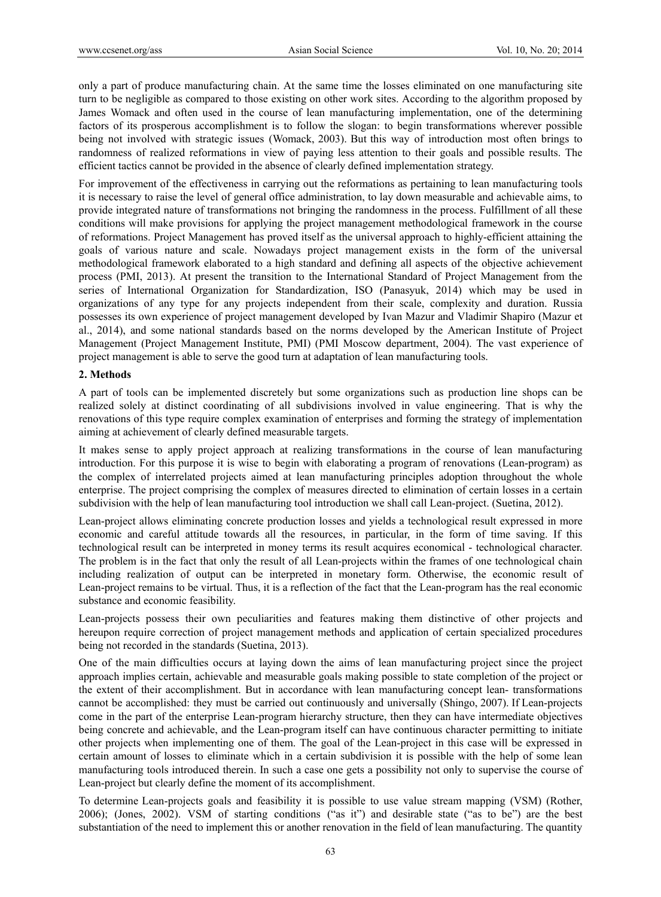only a part of produce manufacturing chain. At the same time the losses eliminated on one manufacturing site turn to be negligible as compared to those existing on other work sites. According to the algorithm proposed by James Womack and often used in the course of lean manufacturing implementation, one of the determining factors of its prosperous accomplishment is to follow the slogan: to begin transformations wherever possible being not involved with strategic issues (Womack, 2003). But this way of introduction most often brings to randomness of realized reformations in view of paying less attention to their goals and possible results. The efficient tactics cannot be provided in the absence of clearly defined implementation strategy.

For improvement of the effectiveness in carrying out the reformations as pertaining to lean manufacturing tools it is necessary to raise the level of general office administration, to lay down measurable and achievable aims, to provide integrated nature of transformations not bringing the randomness in the process. Fulfillment of all these conditions will make provisions for applying the project management methodological framework in the course of reformations. Project Management has proved itself as the universal approach to highly-efficient attaining the goals of various nature and scale. Nowadays project management exists in the form of the universal methodological framework elaborated to a high standard and defining all aspects of the objective achievement process (PMI, 2013). At present the transition to the International Standard of Project Management from the series of International Organization for Standardization, ISO (Panasyuk, 2014) which may be used in organizations of any type for any projects independent from their scale, complexity and duration. Russia possesses its own experience of project management developed by Ivan Mazur and Vladimir Shapiro (Mazur et al., 2014), and some national standards based on the norms developed by the American Institute of Project Management (Project Management Institute, PMI) (PMI Moscow department, 2004). The vast experience of project management is able to serve the good turn at adaptation of lean manufacturing tools.

#### **2. Methods**

A part of tools can be implemented discretely but some organizations such as production line shops can be realized solely at distinct coordinating of all subdivisions involved in value engineering. That is why the renovations of this type require complex examination of enterprises and forming the strategy of implementation aiming at achievement of clearly defined measurable targets.

It makes sense to apply project approach at realizing transformations in the course of lean manufacturing introduction. For this purpose it is wise to begin with elaborating a program of renovations (Lean-program) as the complex of interrelated projects aimed at lean manufacturing principles adoption throughout the whole enterprise. The project comprising the complex of measures directed to elimination of certain losses in a certain subdivision with the help of lean manufacturing tool introduction we shall call Lean-project. (Suetina, 2012).

Lean-project allows eliminating concrete production losses and yields a technological result expressed in more economic and careful attitude towards all the resources, in particular, in the form of time saving. If this technological result can be interpreted in money terms its result acquires economical - technological character. The problem is in the fact that only the result of all Lean-projects within the frames of one technological chain including realization of output can be interpreted in monetary form. Otherwise, the economic result of Lean-project remains to be virtual. Thus, it is a reflection of the fact that the Lean-program has the real economic substance and economic feasibility.

Lean-projects possess their own peculiarities and features making them distinctive of other projects and hereupon require correction of project management methods and application of certain specialized procedures being not recorded in the standards (Suetina, 2013).

One of the main difficulties occurs at laying down the aims of lean manufacturing project since the project approach implies certain, achievable and measurable goals making possible to state completion of the project or the extent of their accomplishment. But in accordance with lean manufacturing concept lean- transformations cannot be accomplished: they must be carried out continuously and universally (Shingo, 2007). If Lean-projects come in the part of the enterprise Lean-program hierarchy structure, then they can have intermediate objectives being concrete and achievable, and the Lean-program itself can have continuous character permitting to initiate other projects when implementing one of them. The goal of the Lean-project in this case will be expressed in certain amount of losses to eliminate which in a certain subdivision it is possible with the help of some lean manufacturing tools introduced therein. In such a case one gets a possibility not only to supervise the course of Lean-project but clearly define the moment of its accomplishment.

To determine Lean-projects goals and feasibility it is possible to use value stream mapping (VSM) (Rother, 2006); (Jones, 2002). VSM of starting conditions ("as it") and desirable state ("as to be") are the best substantiation of the need to implement this or another renovation in the field of lean manufacturing. The quantity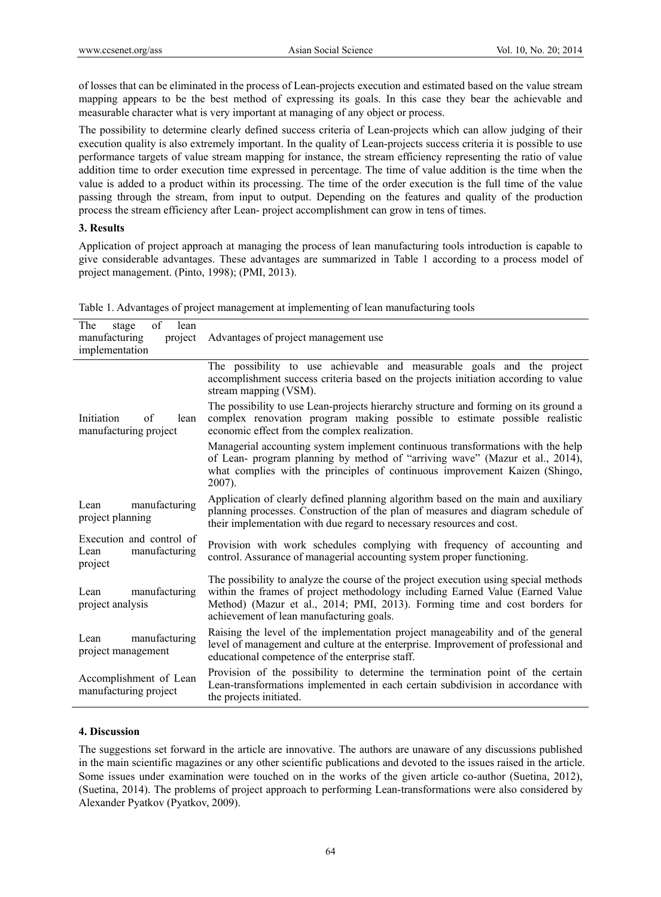of losses that can be eliminated in the process of Lean-projects execution and estimated based on the value stream mapping appears to be the best method of expressing its goals. In this case they bear the achievable and measurable character what is very important at managing of any object or process.

The possibility to determine clearly defined success criteria of Lean-projects which can allow judging of their execution quality is also extremely important. In the quality of Lean-projects success criteria it is possible to use performance targets of value stream mapping for instance, the stream efficiency representing the ratio of value addition time to order execution time expressed in percentage. The time of value addition is the time when the value is added to a product within its processing. The time of the order execution is the full time of the value passing through the stream, from input to output. Depending on the features and quality of the production process the stream efficiency after Lean- project accomplishment can grow in tens of times.

## **3. Results**

Application of project approach at managing the process of lean manufacturing tools introduction is capable to give considerable advantages. These advantages are summarized in Table 1 according to a process model of project management. (Pinto, 1998); (PMI, 2013).

| The<br>of<br>stage<br>lean<br>manufacturing<br>project<br>implementation | Advantages of project management use                                                                                                                                                                                                                                                            |  |  |  |  |
|--------------------------------------------------------------------------|-------------------------------------------------------------------------------------------------------------------------------------------------------------------------------------------------------------------------------------------------------------------------------------------------|--|--|--|--|
| of<br>Initiation<br>lean<br>manufacturing project                        | The possibility to use achievable and measurable goals and the project<br>accomplishment success criteria based on the projects initiation according to value<br>stream mapping (VSM).                                                                                                          |  |  |  |  |
|                                                                          | The possibility to use Lean-projects hierarchy structure and forming on its ground a<br>complex renovation program making possible to estimate possible realistic<br>economic effect from the complex realization.                                                                              |  |  |  |  |
|                                                                          | Managerial accounting system implement continuous transformations with the help<br>of Lean- program planning by method of "arriving wave" (Mazur et al., 2014),<br>what complies with the principles of continuous improvement Kaizen (Shingo,<br>2007).                                        |  |  |  |  |
| manufacturing<br>Lean<br>project planning                                | Application of clearly defined planning algorithm based on the main and auxiliary<br>planning processes. Construction of the plan of measures and diagram schedule of<br>their implementation with due regard to necessary resources and cost.                                                  |  |  |  |  |
| Execution and control of<br>manufacturing<br>Lean<br>project             | Provision with work schedules complying with frequency of accounting and<br>control. Assurance of managerial accounting system proper functioning.                                                                                                                                              |  |  |  |  |
| manufacturing<br>Lean<br>project analysis                                | The possibility to analyze the course of the project execution using special methods<br>within the frames of project methodology including Earned Value (Earned Value<br>Method) (Mazur et al., 2014; PMI, 2013). Forming time and cost borders for<br>achievement of lean manufacturing goals. |  |  |  |  |
| manufacturing<br>Lean<br>project management                              | Raising the level of the implementation project manageability and of the general<br>level of management and culture at the enterprise. Improvement of professional and<br>educational competence of the enterprise staff.                                                                       |  |  |  |  |
| Accomplishment of Lean<br>manufacturing project                          | Provision of the possibility to determine the termination point of the certain<br>Lean-transformations implemented in each certain subdivision in accordance with<br>the projects initiated.                                                                                                    |  |  |  |  |

|  |  |  | Table 1. Advantages of project management at implementing of lean manufacturing tools |
|--|--|--|---------------------------------------------------------------------------------------|
|  |  |  |                                                                                       |
|  |  |  |                                                                                       |

## **4. Discussion**

The suggestions set forward in the article are innovative. The authors are unaware of any discussions published in the main scientific magazines or any other scientific publications and devoted to the issues raised in the article. Some issues under examination were touched on in the works of the given article co-author (Suetina, 2012), (Suetina, 2014). The problems of project approach to performing Lean-transformations were also considered by Alexander Pyatkov (Pyatkov, 2009).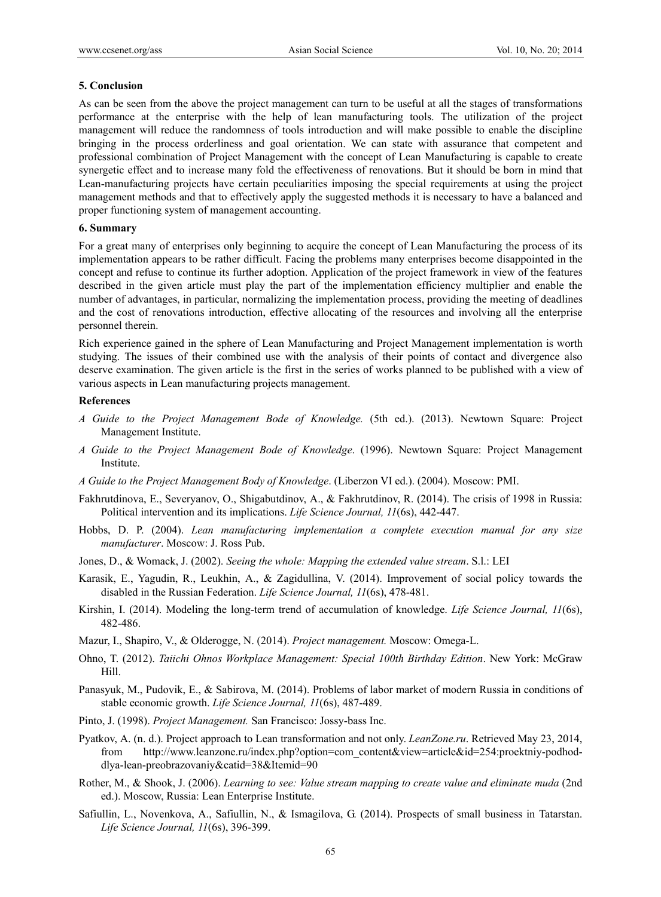#### **5. Conclusion**

As can be seen from the above the project management can turn to be useful at all the stages of transformations performance at the enterprise with the help of lean manufacturing tools. The utilization of the project management will reduce the randomness of tools introduction and will make possible to enable the discipline bringing in the process orderliness and goal orientation. We can state with assurance that competent and professional combination of Project Management with the concept of Lean Manufacturing is capable to create synergetic effect and to increase many fold the effectiveness of renovations. But it should be born in mind that Lean-manufacturing projects have certain peculiarities imposing the special requirements at using the project management methods and that to effectively apply the suggested methods it is necessary to have a balanced and proper functioning system of management accounting.

## **6. Summary**

For a great many of enterprises only beginning to acquire the concept of Lean Manufacturing the process of its implementation appears to be rather difficult. Facing the problems many enterprises become disappointed in the concept and refuse to continue its further adoption. Application of the project framework in view of the features described in the given article must play the part of the implementation efficiency multiplier and enable the number of advantages, in particular, normalizing the implementation process, providing the meeting of deadlines and the cost of renovations introduction, effective allocating of the resources and involving all the enterprise personnel therein.

Rich experience gained in the sphere of Lean Manufacturing and Project Management implementation is worth studying. The issues of their combined use with the analysis of their points of contact and divergence also deserve examination. The given article is the first in the series of works planned to be published with a view of various aspects in Lean manufacturing projects management.

#### **References**

- *A Guide to the Project Management Bode of Knowledge.* (5th ed.). (2013). Newtown Square: Project Management Institute.
- *A Guide to the Project Management Bode of Knowledge*. (1996). Newtown Square: Project Management Institute.
- *A Guide to the Project Management Body of Knowledge*. (Liberzon VI ed.). (2004). Moscow: PMI.
- Fakhrutdinova, E., Severyanov, O., Shigabutdinov, A., & Fakhrutdinov, R. (2014). The crisis of 1998 in Russia: Political intervention and its implications. *Life Science Journal, 11*(6s), 442-447.
- Hobbs, D. P. (2004). *Lean manufacturing implementation a complete execution manual for any size manufacturer*. Moscow: J. Ross Pub.
- Jones, D., & Womack, J. (2002). *Seeing the whole: Mapping the extended value stream*. S.l.: LEI
- Karasik, E., Yagudin, R., Leukhin, A., & Zagidullina, V. (2014). Improvement of social policy towards the disabled in the Russian Federation. *Life Science Journal, 11*(6s), 478-481.
- Kirshin, I. (2014). Modeling the long-term trend of accumulation of knowledge. *Life Science Journal, 11*(6s), 482-486.
- Mazur, I., Shapiro, V., & Olderogge, N. (2014). *Project management.* Moscow: Omega-L.
- Ohno, T. (2012). *Taiichi Ohnos Workplace Management: Special 100th Birthday Edition*. New York: McGraw Hill.
- Panasyuk, M., Pudovik, E., & Sabirova, M. (2014). Problems of labor market of modern Russia in conditions of stable economic growth. *Life Science Journal, 11*(6s), 487-489.
- Pinto, J. (1998). *Project Management.* San Francisco: Jossy-bass Inc.
- Pyatkov, A. (n. d.). Project approach to Lean transformation and not only. *LeanZone.ru*. Retrieved May 23, 2014, from http://www.leanzone.ru/index.php?option=com\_content&view=article&id=254:proektniy-podhoddlya-lean-preobrazovaniy&catid=38&Itemid=90
- Rother, M., & Shook, J. (2006). *Learning to see: Value stream mapping to create value and eliminate muda* (2nd ed.). Moscow, Russia: Lean Enterprise Institute.
- Safiullin, L., Novenkova, A., Safiullin, N., & Ismagilova, G. (2014). Prospects of small business in Tatarstan. *Life Science Journal, 11*(6s), 396-399.